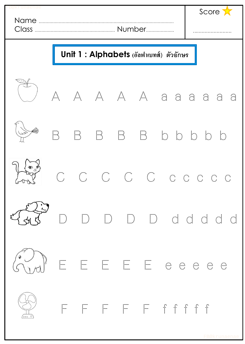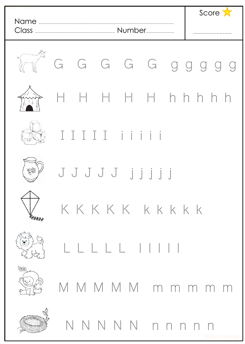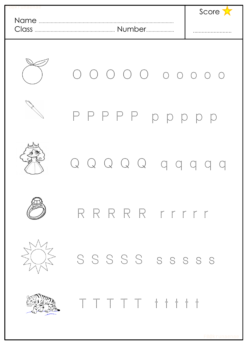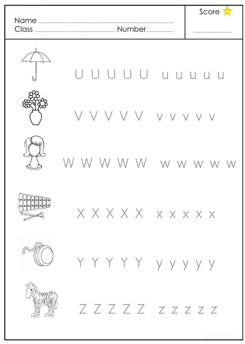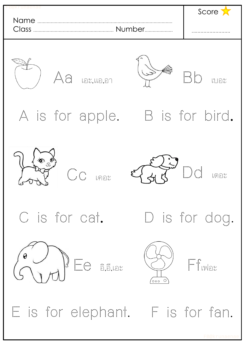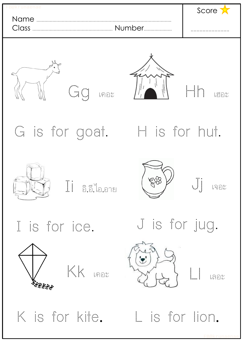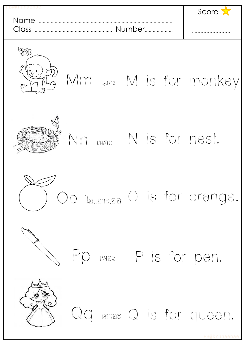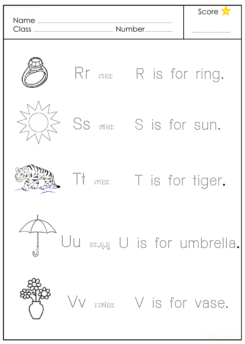